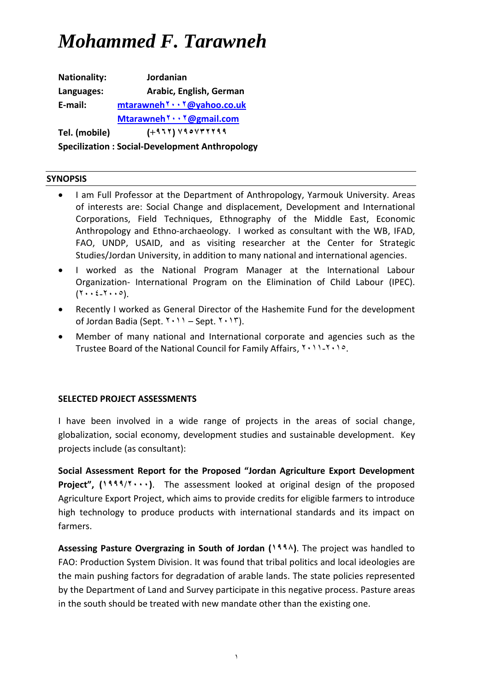**Nationality: Jordanian Languages: Arabic, English, German E-mail: mtarawneh2002[@yahoo.co.uk](mailto:mtarawneh2002@yahoo.co.uk) Mtarawneh2002[@gmail.com](mailto:Mtarawneh2002@gmail.com) Tel. (mobile) (2692) 262232266 Specilization : Social-Development Anthropology**

#### **SYNOPSIS**

- I am Full Professor at the Department of Anthropology, Yarmouk University. Areas of interests are: Social Change and displacement, Development and International Corporations, Field Techniques, Ethnography of the Middle East, Economic Anthropology and Ethno-archaeology. I worked as consultant with the WB, IFAD, FAO, UNDP, USAID, and as visiting researcher at the Center for Strategic Studies/Jordan University, in addition to many national and international agencies.
- I worked as the National Program Manager at the International Labour Organization- International Program on the Elimination of Child Labour (IPEC).  $(Y \cdot \xi_1 Y \cdot \cdot \circ).$
- Recently I worked as General Director of the Hashemite Fund for the development of Jordan Badia (Sept.  $Y \cdot Y =$  Sept.  $Y \cdot Y$ ).
- Member of many national and International corporate and agencies such as the Trustee Board of the National Council for Family Affairs,  $Y \cdot 11 - Y \cdot 10$ .

#### **SELECTED PROJECT ASSESSMENTS**

I have been involved in a wide range of projects in the areas of social change, globalization, social economy, development studies and sustainable development. Key projects include (as consultant):

**Social Assessment Report for the Proposed "Jordan Agriculture Export Development Proiect".** (1999/7...). The assessment looked at original design of the proposed Agriculture Export Project, which aims to provide credits for eligible farmers to introduce high technology to produce products with international standards and its impact on farmers.

**Assessing Pasture Overgrazing in South of Jordan (0661)**. The project was handled to FAO: Production System Division. It was found that tribal politics and local ideologies are the main pushing factors for degradation of arable lands. The state policies represented by the Department of Land and Survey participate in this negative process. Pasture areas in the south should be treated with new mandate other than the existing one.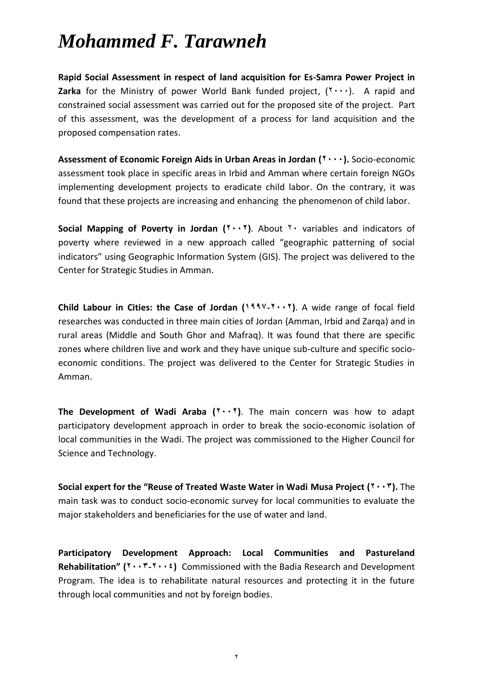**Rapid Social Assessment in respect of land acquisition for Es-Samra Power Project in Zarka** for the Ministry of power World Bank funded project,  $(Y \cdots)$ . A rapid and constrained social assessment was carried out for the proposed site of the project. Part of this assessment, was the development of a process for land acquisition and the proposed compensation rates.

Assessment of Economic Foreign Aids in Urban Areas in Jordan ( $\mathbf{Y} \cdot \cdot \cdot$ ). Socio-economic assessment took place in specific areas in Irbid and Amman where certain foreign NGOs implementing development projects to eradicate child labor. On the contrary, it was found that these projects are increasing and enhancing the phenomenon of child labor.

**Social Mapping of Poverty in Jordan (<sup>** $1$ **</sup> · <sup>\*</sup>). About <sup>1</sup> variables and indicators of** poverty where reviewed in a new approach called "geographic patterning of social indicators" using Geographic Information System (GIS). The project was delivered to the Center for Strategic Studies in Amman.

**Child Labour in Cities: the Case of Jordan (0662-2002)**. A wide range of focal field researches was conducted in three main cities of Jordan (Amman, Irbid and Zarqa) and in rural areas (Middle and South Ghor and Mafraq). It was found that there are specific zones where children live and work and they have unique sub-culture and specific socioeconomic conditions. The project was delivered to the Center for Strategic Studies in Amman.

**The Development of Wadi Araba (2002)**. The main concern was how to adapt participatory development approach in order to break the socio-economic isolation of local communities in the Wadi. The project was commissioned to the Higher Council for Science and Technology.

**Social expert for the "Reuse of Treated Waste Water in Wadi Musa Project (2003).** The main task was to conduct socio-economic survey for local communities to evaluate the major stakeholders and beneficiaries for the use of water and land.

**Participatory Development Approach: Local Communities and Pastureland Rehabilitation" (2003-2002)** Commissioned with the Badia Research and Development Program. The idea is to rehabilitate natural resources and protecting it in the future through local communities and not by foreign bodies.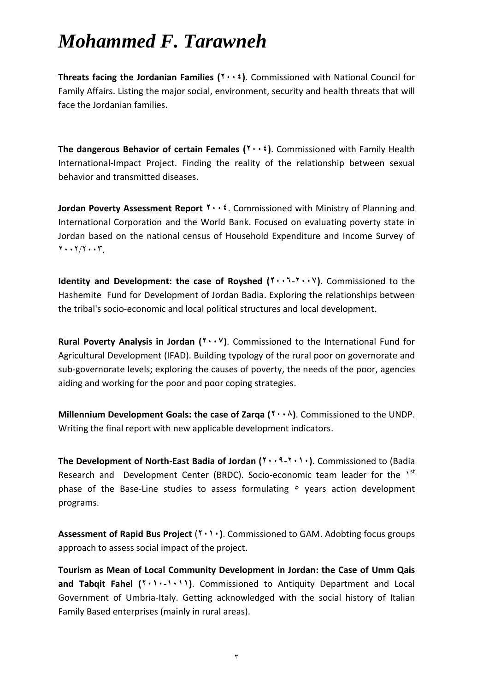**Threats facing the Jordanian Families (2002)**. Commissioned with National Council for Family Affairs. Listing the major social, environment, security and health threats that will face the Jordanian families.

**The dangerous Behavior of certain Females (2002)**. Commissioned with Family Health International-Impact Project. Finding the reality of the relationship between sexual behavior and transmitted diseases.

**Jordan Poverty Assessment Report <sup>Y</sup> · · <sup>£</sup>. Commissioned with Ministry of Planning and** International Corporation and the World Bank. Focused on evaluating poverty state in Jordan based on the national census of Household Expenditure and Income Survey of  $Y \cdot Y/Y \cdot Y$ .

**Identity and Development: the case of Royshed (2009-2002)**. Commissioned to the Hashemite Fund for Development of Jordan Badia. Exploring the relationships between the tribal's socio-economic and local political structures and local development.

**Rural Poverty Analysis in Jordan (<sup>** $\cdot \cdot \cdot$ **</sup>). Commissioned to the International Fund for** Agricultural Development (IFAD). Building typology of the rural poor on governorate and sub-governorate levels; exploring the causes of poverty, the needs of the poor, agencies aiding and working for the poor and poor coping strategies.

**Millennium Development Goals: the case of Zarqa (2001)**. Commissioned to the UNDP. Writing the final report with new applicable development indicators.

**The Development of North-East Badia of Jordan (2006-2000)**. Commissioned to (Badia Research and Development Center (BRDC). Socio-economic team leader for the 1<sup>st</sup> phase of the Base-Line studies to assess formulating  $\circ$  years action development programs.

Assessment of Rapid Bus Project (**1000**). Commissioned to GAM. Adobting focus groups approach to assess social impact of the project.

**Tourism as Mean of Local Community Development in Jordan: the Case of Umm Qais**  and Tabqit Fahel (**1000**-1001). Commissioned to Antiquity Department and Local Government of Umbria-Italy. Getting acknowledged with the social history of Italian Family Based enterprises (mainly in rural areas).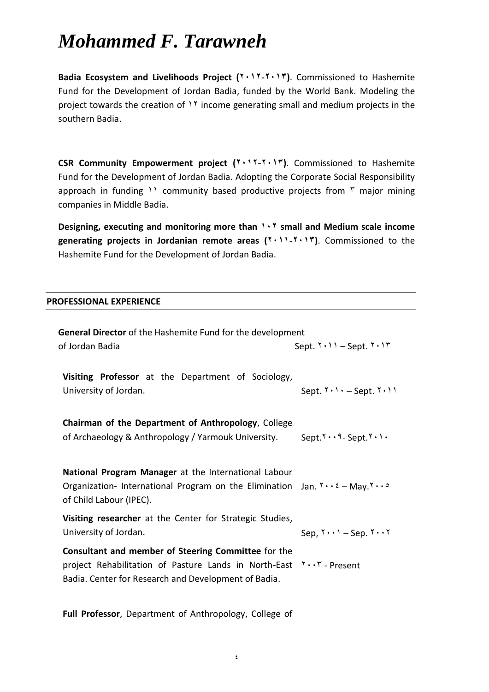**Badia Ecosystem and Livelihoods Project (2002-2003)**. Commissioned to Hashemite Fund for the Development of Jordan Badia, funded by the World Bank. Modeling the project towards the creation of  $11$  income generating small and medium projects in the southern Badia.

**CSR Community Empowerment project (2002-2003)**. Commissioned to Hashemite Fund for the Development of Jordan Badia. Adopting the Corporate Social Responsibility approach in funding 11 community based productive projects from  $\bar{r}$  major mining companies in Middle Badia.

**Designing, executing and monitoring more than 002 small and Medium scale income generating projects in Jordanian remote areas (2000-2003)**. Commissioned to the Hashemite Fund for the Development of Jordan Badia.

#### **PROFESSIONAL EXPERIENCE**

| <b>General Director</b> of the Hashemite Fund for the development                                                                                                                     |                                                 |  |
|---------------------------------------------------------------------------------------------------------------------------------------------------------------------------------------|-------------------------------------------------|--|
| of Jordan Badia                                                                                                                                                                       | Sept. $Y \cdot Y =$ Sept. $Y \cdot Y$           |  |
| Visiting Professor at the Department of Sociology,<br>University of Jordan.                                                                                                           | Sept. $Y \cdot Y \cdot -$ Sept. $Y \cdot Y$     |  |
| Chairman of the Department of Anthropology, College                                                                                                                                   |                                                 |  |
| of Archaeology & Anthropology / Yarmouk University.                                                                                                                                   | $Sept. 7 \cdot \cdot 9 - Sept. 7 \cdot 1 \cdot$ |  |
|                                                                                                                                                                                       |                                                 |  |
| National Program Manager at the International Labour<br>Organization-International Program on the Elimination Jan. $Y \cdot Y = May. Y \cdot Q$<br>of Child Labour (IPEC).            |                                                 |  |
| Visiting researcher at the Center for Strategic Studies,                                                                                                                              |                                                 |  |
| University of Jordan.                                                                                                                                                                 | Sep, $Y \cdot Y -$ Sep. $Y \cdot Y$             |  |
| Consultant and member of Steering Committee for the<br>project Rehabilitation of Pasture Lands in North-East Y. . T - Present<br>Badia. Center for Research and Development of Badia. |                                                 |  |

**Full Professor**, Department of Anthropology, College of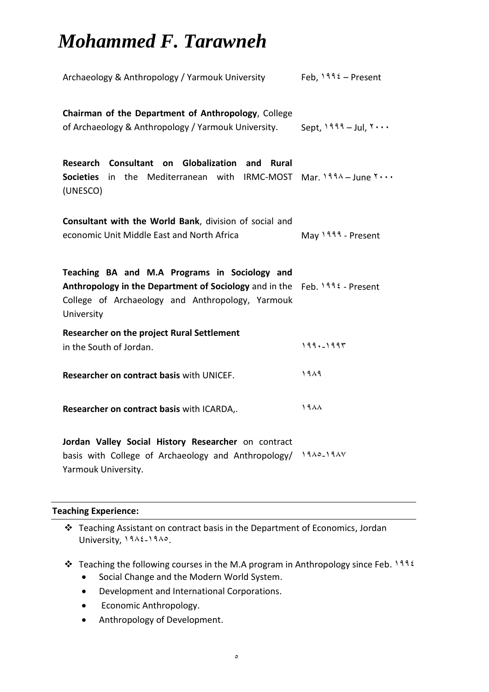| Archaeology & Anthropology / Yarmouk University                                                                                                                                                 | Feb, $1992 -$ Present   |
|-------------------------------------------------------------------------------------------------------------------------------------------------------------------------------------------------|-------------------------|
| Chairman of the Department of Anthropology, College<br>of Archaeology & Anthropology / Yarmouk University.                                                                                      | Sept, $1999 -$ Jul, $5$ |
| Research Consultant on Globalization and Rural<br>in the Mediterranean with IRMC-MOST Mar. $199\lambda - June Y \cdots$<br><b>Societies</b><br>(UNESCO)                                         |                         |
| Consultant with the World Bank, division of social and<br>economic Unit Middle East and North Africa                                                                                            | May 1999 - Present      |
| Teaching BA and M.A Programs in Sociology and<br>Anthropology in the Department of Sociology and in the Feb. $1996$ - Present<br>College of Archaeology and Anthropology, Yarmouk<br>University |                         |
| <b>Researcher on the project Rural Settlement</b><br>in the South of Jordan.                                                                                                                    | $199. - 1997$           |
| Researcher on contract basis with UNICEF.                                                                                                                                                       | 1919                    |
| Researcher on contract basis with ICARDA,.                                                                                                                                                      | 1988                    |
| Jordan Valley Social History Researcher on contract<br>basis with College of Archaeology and Anthropology/<br>Yarmouk University.                                                               | $1910 - 191V$           |

#### **Teaching Experience:**

 Teaching Assistant on contract basis in the Department of Economics, Jordan University, 1912-1910.

- $\cdot$  Teaching the following courses in the M.A program in Anthropology since Feb. 1992
	- Social Change and the Modern World System.
	- Development and International Corporations.
	- **•** Economic Anthropology.
	- Anthropology of Development.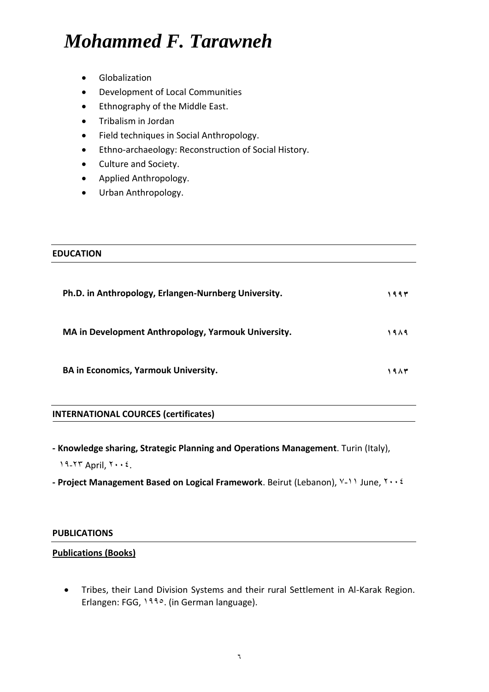- Globalization
- Development of Local Communities
- Ethnography of the Middle East.
- Tribalism in Jordan
- Field techniques in Social Anthropology.
- Ethno-archaeology: Reconstruction of Social History.
- Culture and Society.
- Applied Anthropology.
- Urban Anthropology.

# **EDUCATION Ph.D. in Anthropology, Erlangen-Nurnberg University. 0663**

**MA in Development Anthropology, Yarmouk University. 0616**

**BA in Economics, Yarmouk University. 0613**

#### **INTERNATIONAL COURCES (certificates)**

- **- Knowledge sharing, Strategic Planning and Operations Management**. Turin (Italy), 19-77 April,  $Y \cdot \cdot \xi$ .
- **Project Management Based on Logical Framework**. Beirut (Lebanon), V-11 June, Y . . 2

#### **PUBLICATIONS**

#### **Publications (Books)**

 Tribes, their Land Division Systems and their rural Settlement in Al-Karak Region. Erlangen: FGG, 1990. (in German language).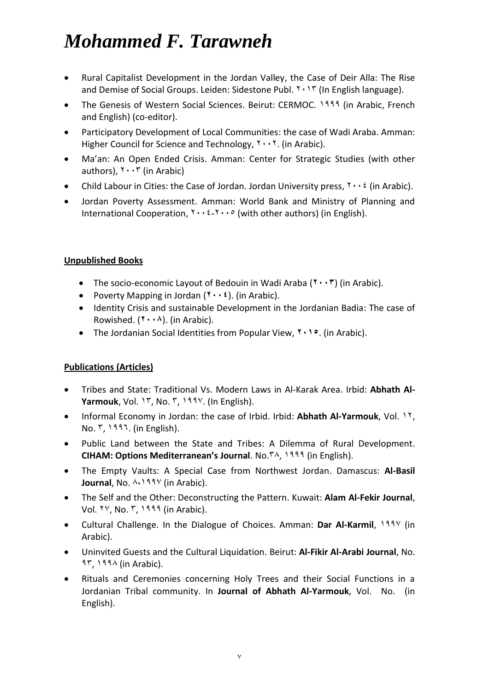- Rural Capitalist Development in the Jordan Valley, the Case of Deir Alla: The Rise and Demise of Social Groups. Leiden: Sidestone Publ.  $Y \cdot Y$  (In English language).
- The Genesis of Western Social Sciences. Beirut: CERMOC. 1999 (in Arabic, French) and English) (co-editor).
- Participatory Development of Local Communities: the case of Wadi Araba. Amman: Higher Council for Science and Technology,  $Y \cdot Y$ . (in Arabic).
- Ma'an: An Open Ended Crisis. Amman: Center for Strategic Studies (with other authors),  $Y \cdot Y$  (in Arabic)
- Child Labour in Cities: the Case of Jordan. Jordan University press,  $\gamma \cdot \gamma$  (in Arabic).
- Jordan Poverty Assessment. Amman: World Bank and Ministry of Planning and International Cooperation,  $Y \cdot Y \cdot Y \cdot P$  (with other authors) (in English).

#### **Unpublished Books**

- The socio-economic Layout of Bedouin in Wadi Araba (**2003**) (in Arabic).
- Poverty Mapping in Jordan (**2002**). (in Arabic).
- Identity Crisis and sustainable Development in the Jordanian Badia: The case of Rowished. (**2001**). (in Arabic).
- **•** The Jordanian Social Identities from Popular View, **1000**. (in Arabic).

#### **Publications (Articles)**

- Tribes and State: Traditional Vs. Modern Laws in Al-Karak Area. Irbid: **Abhath Al-Yarmouk**, Vol. 1<sup>r</sup>, No. <sup>r</sup>, 199*v*. (In English).
- Informal Economy in Jordan: the case of Irbid. Irbid: **Abhath Al-Yarmouk**, Vol. 14,  $No. 7, 1997.$  (in English).
- Public Land between the State and Tribes: A Dilemma of Rural Development. **CIHAM: Options Mediterranean's Journal**. No.<sup>1111</sup> (in English).
- The Empty Vaults: A Special Case from Northwest Jordan. Damascus: **Al-Basil Journal**, No.  $\lambda \cdot 199\sqrt{191}$  (in Arabic).
- The Self and the Other: Deconstructing the Pattern. Kuwait: **Alam Al-Fekir Journal**, Vol.  $YY$ . No.  $Y$ .  $1999$  (in Arabic).
- Cultural Challenge. In the Dialogue of Choices. Amman: Dar Al-Karmil, 199V (in Arabic).
- Uninvited Guests and the Cultural Liquidation. Beirut: **Al-Fikir Al-Arabi Journal**, No.  $27.193 \times (in Arabic)$ .
- Rituals and Ceremonies concerning Holy Trees and their Social Functions in a Jordanian Tribal community. In **Journal of Abhath Al-Yarmouk**, Vol. No. (in English).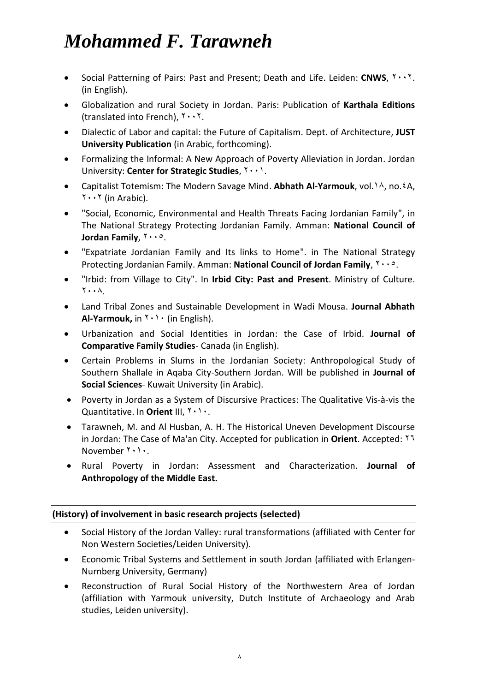- Social Patterning of Pairs: Past and Present; Death and Life. Leiden: CNWS,  $Y \cdot Y$ . (in English).
- Globalization and rural Society in Jordan. Paris: Publication of **Karthala Editions** (translated into French),  $Y \cdot Y$ .
- Dialectic of Labor and capital: the Future of Capitalism. Dept. of Architecture, **JUST University Publication** (in Arabic, forthcoming).
- Formalizing the Informal: A New Approach of Poverty Alleviation in Jordan. Jordan University: **Center for Strategic Studies**,  $\mathbf{Y} \cdot \mathbf{A}$ .
- Capitalist Totemism: The Modern Savage Mind. Abhath Al-Yarmouk, vol.<sup>1</sup>A, no.<sup>2</sup>A,  $\mathbf{Y} \cdot \mathbf{Y}$  (in Arabic).
- "Social, Economic, Environmental and Health Threats Facing Jordanian Family", in The National Strategy Protecting Jordanian Family. Amman: **National Council of Jordan Family,**  $1000$ **.**
- "Expatriate Jordanian Family and Its links to Home". in The National Strategy Protecting Jordanian Family. Amman: **National Council of Jordan Family**,  $Y \cdot \cdot \circ$ .
- "Irbid: from Village to City". In **Irbid City: Past and Present**. Ministry of Culture.  $\mathsf{Y} \cdot \cdot \mathsf{A}$
- Land Tribal Zones and Sustainable Development in Wadi Mousa. **Journal Abhath Al-Yarmouk,** in  $Y \cdot Y$  (in English).
- Urbanization and Social Identities in Jordan: the Case of Irbid. **Journal of Comparative Family Studies**- Canada (in English).
- Certain Problems in Slums in the Jordanian Society: Anthropological Study of Southern Shallale in Aqaba City-Southern Jordan. Will be published in **Journal of Social Sciences**- Kuwait University (in Arabic).
- Poverty in Jordan as a System of Discursive Practices: The Qualitative Vis-à-vis the Quantitative. In Orient III, You.
- Tarawneh, M. and Al Husban, A. H. The Historical Uneven Development Discourse in Jordan: The Case of Ma'an City. Accepted for publication in **Orient**. Accepted: 46 November  $Y \cdot Y$ .
- Rural Poverty in Jordan: Assessment and Characterization. **Journal of Anthropology of the Middle East.**

#### **(History) of involvement in basic research projects (selected)**

- Social History of the Jordan Valley: rural transformations (affiliated with Center for Non Western Societies/Leiden University).
- Economic Tribal Systems and Settlement in south Jordan (affiliated with Erlangen-Nurnberg University, Germany)
- Reconstruction of Rural Social History of the Northwestern Area of Jordan (affiliation with Yarmouk university, Dutch Institute of Archaeology and Arab studies, Leiden university).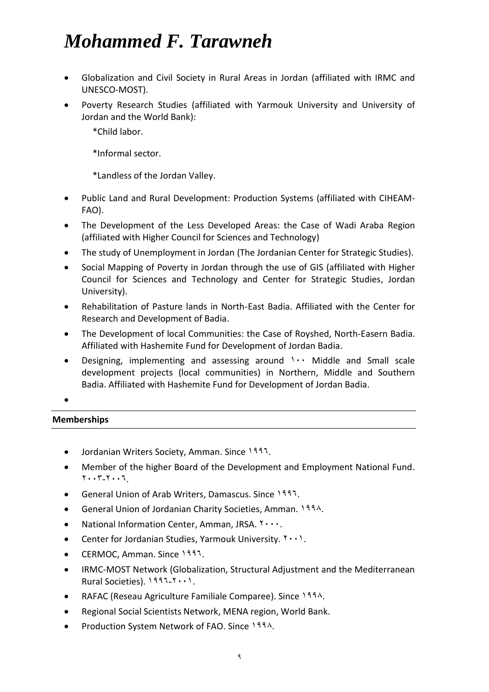- Globalization and Civil Society in Rural Areas in Jordan (affiliated with IRMC and UNESCO-MOST).
- Poverty Research Studies (affiliated with Yarmouk University and University of Jordan and the World Bank):

\*Child labor.

\*Informal sector.

\*Landless of the Jordan Valley.

- Public Land and Rural Development: Production Systems (affiliated with CIHEAM-FAO).
- The Development of the Less Developed Areas: the Case of Wadi Araba Region (affiliated with Higher Council for Sciences and Technology)
- The study of Unemployment in Jordan (The Jordanian Center for Strategic Studies).
- Social Mapping of Poverty in Jordan through the use of GIS (affiliated with Higher Council for Sciences and Technology and Center for Strategic Studies, Jordan University).
- Rehabilitation of Pasture lands in North-East Badia. Affiliated with the Center for Research and Development of Badia.
- The Development of local Communities: the Case of Royshed, North-Easern Badia. Affiliated with Hashemite Fund for Development of Jordan Badia.
- Designing, implementing and assessing around  $\cdots$  Middle and Small scale development projects (local communities) in Northern, Middle and Southern Badia. Affiliated with Hashemite Fund for Development of Jordan Badia.

 $\bullet$ 

#### **Memberships**

- Jordanian Writers Society, Amman. Since 1997.
- Member of the higher Board of the Development and Employment National Fund.  $Y \cdot Y - Y \cdot Y$
- General Union of Arab Writers, Damascus. Since 1997.
- General Union of Jordanian Charity Societies, Amman.  $1991$ .
- National Information Center, Amman, JRSA.  $\mathbf{y} \cdot \mathbf{y}$ .
- **•** Center for Jordanian Studies, Yarmouk University.  $Y \cdot Y$ .
- CERMOC, Amman. Since 1997.
- IRMC-MOST Network (Globalization, Structural Adjustment and the Mediterranean Rural Societies). 1997-Y...1.
- RAFAC (Reseau Agriculture Familiale Comparee). Since  $199\text{A}$ .
- Regional Social Scientists Network, MENA region, World Bank.
- Production System Network of FAO. Since 1994.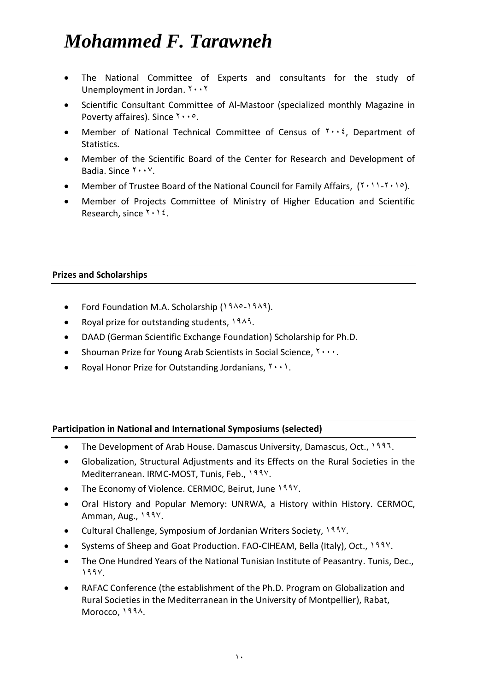- The National Committee of Experts and consultants for the study of Unemployment in Jordan.  $Y \cdot Y$
- Scientific Consultant Committee of Al-Mastoor (specialized monthly Magazine in Poverty affaires). Since  $\forall \cdot \cdot \circ$ .
- Member of National Technical Committee of Census of  $\gamma \cdot \gamma$ , Department of Statistics.
- Member of the Scientific Board of the Center for Research and Development of Badia. Since  $Y \cdot Y$ .
- Member of Trustee Board of the National Council for Family Affairs,  $(1 \cdot 1) \cdot 1 \cdot 1 \cdot 2$ .
- Member of Projects Committee of Ministry of Higher Education and Scientific Research, since  $Y \cdot Y$ .

#### **Prizes and Scholarships**

- Ford Foundation M.A. Scholarship (1910-1914).
- Royal prize for outstanding students,  $1943$ .
- DAAD (German Scientific Exchange Foundation) Scholarship for Ph.D.
- Shouman Prize for Young Arab Scientists in Social Science,  $\gamma \cdots$ .
- Royal Honor Prize for Outstanding Jordanians,  $Y \cdot Y$ .

#### **Participation in National and International Symposiums (selected)**

- The Development of Arab House. Damascus University, Damascus, Oct., 1997.
- Globalization, Structural Adjustments and its Effects on the Rural Societies in the Mediterranean. IRMC-MOST, Tunis, Feb., 199Y.
- The Economy of Violence. CERMOC, Beirut, June 199Y.
- Oral History and Popular Memory: UNRWA, a History within History. CERMOC, Amman, Aug., 1991.
- Cultural Challenge, Symposium of Jordanian Writers Society, 1997.
- Systems of Sheep and Goat Production. FAO-CIHEAM, Bella (Italy), Oct., 1997.
- The One Hundred Years of the National Tunisian Institute of Peasantry. Tunis, Dec.,  $199$
- RAFAC Conference (the establishment of the Ph.D. Program on Globalization and Rural Societies in the Mediterranean in the University of Montpellier), Rabat, Morocco, 1994.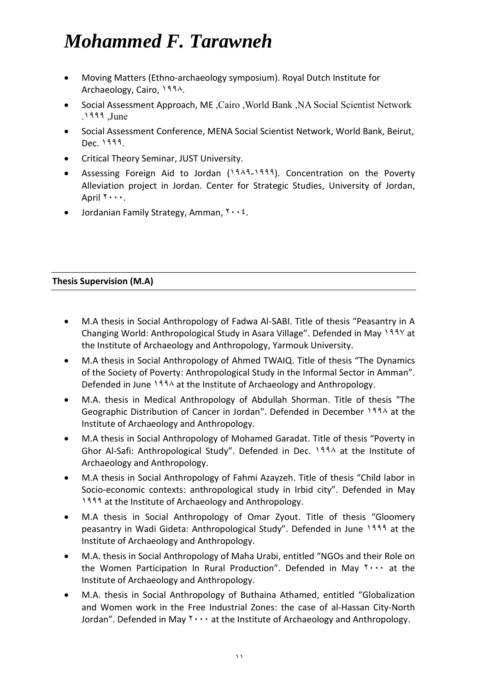- Moving Matters (Ethno-archaeology symposium). Royal Dutch Institute for Archaeology, Cairo, 1994.
- Social Assessment Approach, ME, Cairo, World Bank, NA Social Scientist Network  $.1999$ , June
- Social Assessment Conference, MENA Social Scientist Network, World Bank, Beirut, Dec. 1999.
- Critical Theory Seminar, JUST University.
- Assessing Foreign Aid to Jordan (1949-1999). Concentration on the Poverty Alleviation project in Jordan. Center for Strategic Studies, University of Jordan, April  $1 \cdots$ .
- Jordanian Family Strategy, Amman,  $Y \cdot Y$ .

#### **Thesis Supervision (M.A)**

- M.A thesis in Social Anthropology of Fadwa Al-SABI. Title of thesis "Peasantry in A Changing World: Anthropological Study in Asara Village". Defended in May 199V at the Institute of Archaeology and Anthropology, Yarmouk University.
- M.A thesis in Social Anthropology of Ahmed TWAIQ. Title of thesis "The Dynamics of the Society of Poverty: Anthropological Study in the Informal Sector in Amman". Defended in June  $193\lambda$  at the Institute of Archaeology and Anthropology.
- M.A. thesis in Medical Anthropology of Abdullah Shorman. Title of thesis "The Geographic Distribution of Cancer in Jordan". Defended in December 1994 at the Institute of Archaeology and Anthropology.
- M.A thesis in Social Anthropology of Mohamed Garadat. Title of thesis "Poverty in Ghor Al-Safi: Anthropological Study". Defended in Dec.  $199\lambda$  at the Institute of Archaeology and Anthropology.
- M.A thesis in Social Anthropology of Fahmi Azayzeh. Title of thesis "Child labor in Socio-economic contexts: anthropological study in Irbid city". Defended in May 1999 at the Institute of Archaeology and Anthropology.
- M.A thesis in Social Anthropology of Omar Zyout. Title of thesis "Gloomery peasantry in Wadi Gideta: Anthropological Study". Defended in June 1999 at the Institute of Archaeology and Anthropology.
- M.A. thesis in Social Anthropology of Maha Urabi, entitled "NGOs and their Role on the Women Participation In Rural Production". Defended in May  $\gamma \cdots$  at the Institute of Archaeology and Anthropology.
- M.A. thesis in Social Anthropology of Buthaina Athamed, entitled "Globalization and Women work in the Free Industrial Zones: the case of al-Hassan City-North Jordan". Defended in May  $\mathbf{Y} \cdot \cdot \cdot$  at the Institute of Archaeology and Anthropology.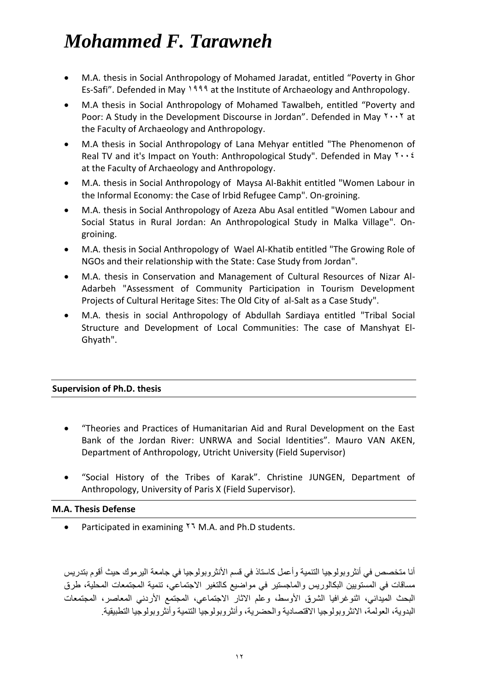- M.A. thesis in Social Anthropology of Mohamed Jaradat, entitled "Poverty in Ghor Es-Safi". Defended in May 1999 at the Institute of Archaeology and Anthropology.
- M.A thesis in Social Anthropology of Mohamed Tawalbeh, entitled "Poverty and Poor: A Study in the Development Discourse in Jordan". Defended in May  $1 \cdot 1$  at the Faculty of Archaeology and Anthropology.
- M.A thesis in Social Anthropology of Lana Mehyar entitled "The Phenomenon of Real TV and it's Impact on Youth: Anthropological Study". Defended in May  $\gamma \cdot \gamma$ at the Faculty of Archaeology and Anthropology.
- M.A. thesis in Social Anthropology of Maysa Al-Bakhit entitled "Women Labour in the Informal Economy: the Case of Irbid Refugee Camp". On-groining.
- M.A. thesis in Social Anthropology of Azeza Abu Asal entitled "Women Labour and Social Status in Rural Jordan: An Anthropological Study in Malka Village". Ongroining.
- M.A. thesis in Social Anthropology of Wael Al-Khatib entitled "The Growing Role of NGOs and their relationship with the State: Case Study from Jordan".
- M.A. thesis in Conservation and Management of Cultural Resources of Nizar Al-Adarbeh "Assessment of Community Participation in Tourism Development Projects of Cultural Heritage Sites: The Old City of al-Salt as a Case Study".
- M.A. thesis in social Anthropology of Abdullah Sardiaya entitled "Tribal Social Structure and Development of Local Communities: The case of Manshyat El-Ghyath".

#### **Supervision of Ph.D. thesis**

- "Theories and Practices of Humanitarian Aid and Rural Development on the East Bank of the Jordan River: UNRWA and Social Identities". Mauro VAN AKEN, Department of Anthropology, Utricht University (Field Supervisor)
- "Social History of the Tribes of Karak". Christine JUNGEN, Department of Anthropology, University of Paris X (Field Supervisor).

#### **M.A. Thesis Defense**

Participated in examining  $14$  M.A. and Ph.D students.

أنا متخصص في أنثر وبولوجيا التنمية وأعمل كاستاذ في قسم الأنثر وبولوجيا في جامعة اليرموك حيث أقوم بتدريس مساقات في المستويين البكالوريس والماجستير في مواضيع كالتغير الاجتماعي، تنمية المجتمعات المحلية، طرق البحث الميداني، اثنو غرافيا الشرق الأوسط، وعلم الاثار الاجتماعي، المجتمع الأردني المعاصر، المجتمعات البدوية، العولمة، الانثر وبولوجيا الاقتصادية والحضرية، وأنثر وبولوجيا التنمية وأنثر وبولوجيا التطبيقية ِ